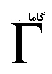# 65

## شماره ی ۱۸، بهار ر ۱۳۸۷

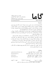www.gammajournal.ir

 $\overline{\mathsf{K}}$ 

**ISSN 1735.1286** 

## به نام خدا

• گاما فصل نامه ای است به زبان فارسی، در باره ی فیزیک. آن چه در گاما منتشر می شود بیش تر مقالهها ی ِ آموزشی، در زمینه ی ِ فرهنگ یا تاریخ ِ ِ فیزیک، یا در مورد ِ مسائل ِ فیزیک در ایران است، و قرار است جنبه ی ِ آموزشی و فرهنگی داشته باشد و برای دانشجویان ِ فیزیک یا دانش آموخته گان \_ فیزیک ، یا دستِکم بخش ی از آنها قابلاستفاده باشد. • مقالههای گاما نوعاً تألیفی اند. سعی بر این است که فقط مقالهها ی ِ کلاسیک ِ فیزیک، و نوشتهها ی ِ فیزیکپیشهها ی ِ بزرگ ترجمه شود. اگر می خواهید چیز ی را ترجمه کنید، لطفاً اول با هیئت \_ ویراستاران تماس بگیرید. • برا ی ِ تماس با گاما، و از جمله فرستادن ِ مقاله، لطفاً با یک ی از ویراستاران ِ گاما تماس بگیرید. • پذیرش ِ مقاله با هیئت ِ ویراستاران و بر اساس ِ روش ِ متداول ِ داوری توسّط ِ داور ِ ناشناس است. هیئت <sub>-</sub> ویراستاران یا مقاله را میپذیرد، یا رد میکند، امّا هرگز در نوشته ی ِ نویسنده دخل و تصرّف ی نمیکند. اگر به نظر ِ داور تغییر ی در مقاله لازم باشد، اعمال ِ این تغییر با خود ِ نویسنده(ها) است. • مقاله ی پذیرفته شده، پیش از چاپ، بر اساس به آخرین نسخه ای که نویسنده فرستاده حروفچینی می،شود و یس از تأیید <sub>-</sub> نویسنده است که چاپ می،ود. • © تمام ِ حقوق ِ مادّي و معنوي ي ِ آن چه در گاما منتشر ميشود متعلق است به گاما، مگر در موارد ی که صراحتاً مشخّص شده باشد.

ويراستاران: • امير \_ آقامحمّدي، دانش گاه \_ الزّهرا، تهران a\_aghamohammadi@yahoo.com • احمد ِ شریعتی (سردبیر)، دانشگاه ِ الزّهرا، تهران shariati@mailaps.org • عزیزاله ِ شفیعخانی، دانشگاه ِ الزّهرا، تهران ashafie@ipm.ir • امیرحسین ِ فتحاللهی، دانشگاه ِ الزّهرا، تهران ahfatol@gmail.com

 $^{-1}$ شمارگان : ۱۰۰۰ نسخه  $^1$ تاريخ \_ انتشار ١٣٨٧/٣/١٦ قيمت ٥٥٥ تومان. <sup>1</sup> ليتوگرافي، چاپ، و صحافي: سازمان چاپ و انتشارات وزارت فرهنگ و ارشاد اسلامي.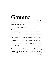## Gamma

www.gammajournal.ir ISSN 1735.1286

Gamma is a quarterly Persian magazine, devoted to educational and cultural articles in physics. Gamma is not a research journal.

**Address:** Gamma, P. O. Box 633, Tehran 19935, IRAN.

 $\odot$  2004 - 2008, Gamma, all rights reserved.

## **Editors**

• **A. Aghamohammadi** Prof. of Physics, Alzahra University, Tehran 19938-91167, Iran. a aghamohammadi@yahoo.com

• **A. H. Fatollahi** Asoc. Prof. of Physics, Alzahra University, Tehran 19938-91167, Iran. ahfatol@gmail.com

• **A. Shafikhani** Asoc. Prof. of Physics, Alzahra University, Tehran 19938-91167, Iran. ashafie@ipm.ir

• **A. Shariati** Asoc. Prof. of Physics, Alzahra University, Tehran 19938-91167, Iran. shariati@mailaps.org

اشتراک (چهار شماره) عادی ۱۰۰۰۰ تومان، دانشجویی ۲۰۰۰ تومان، موّسسهها ۰۰۰۵ تومان .  1 ( #\$   h- G #\*- C 5 6 i ( g  \*  ( 065 ) <sup>N</sup> 6 i ( g  \* 0 A( Q-& \$-5  $\cdots$  . The same state  $\cdots$ 

ہر اوپر اسپر اس کے اسپر کے اس کے سیاسی کے اس کے اس کے اس کے اس کے اس کے اس کے اس کے اس کے اس کے اس کے اس کے اس دانش کاه ِ الزهرا (کُد ِ ۲۲۱) به نام ِ احمد شریعتی، بریزید. اصل ِ رسید ِ بانک را پیش ِ خود  $\bullet$  . The state is the state of the state of the state of the state of the state of the state of  $\bullet$  . The state of the state of the state of the state of the state of the state of the state of the state of the state of ا از معتبر از پورن بی که واریز شما اشکار از اسم و تشایع ای کامل از کیرنما بی مجله (نصف کنار پشتی را هم بنويسيد).